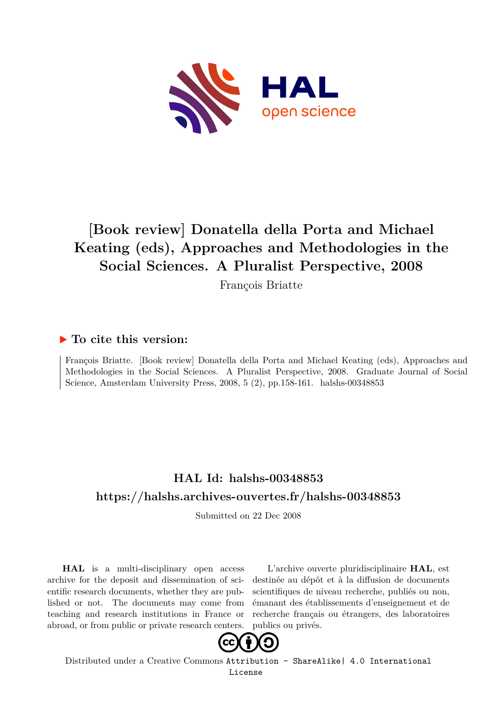

# **[Book review] Donatella della Porta and Michael Keating (eds), Approaches and Methodologies in the Social Sciences. A Pluralist Perspective, 2008**

François Briatte

### **To cite this version:**

François Briatte. [Book review] Donatella della Porta and Michael Keating (eds), Approaches and Methodologies in the Social Sciences. A Pluralist Perspective, 2008. Graduate Journal of Social Science, Amsterdam University Press, 2008, 5  $(2)$ , pp.158-161. halshs-00348853

## **HAL Id: halshs-00348853 <https://halshs.archives-ouvertes.fr/halshs-00348853>**

Submitted on 22 Dec 2008

**HAL** is a multi-disciplinary open access archive for the deposit and dissemination of scientific research documents, whether they are published or not. The documents may come from teaching and research institutions in France or abroad, or from public or private research centers.

L'archive ouverte pluridisciplinaire **HAL**, est destinée au dépôt et à la diffusion de documents scientifiques de niveau recherche, publiés ou non, émanant des établissements d'enseignement et de recherche français ou étrangers, des laboratoires publics ou privés.



Distributed under a Creative Commons [Attribution - ShareAlike| 4.0 International](http://creativecommons.org/licenses/by-sa/4.0/) [License](http://creativecommons.org/licenses/by-sa/4.0/)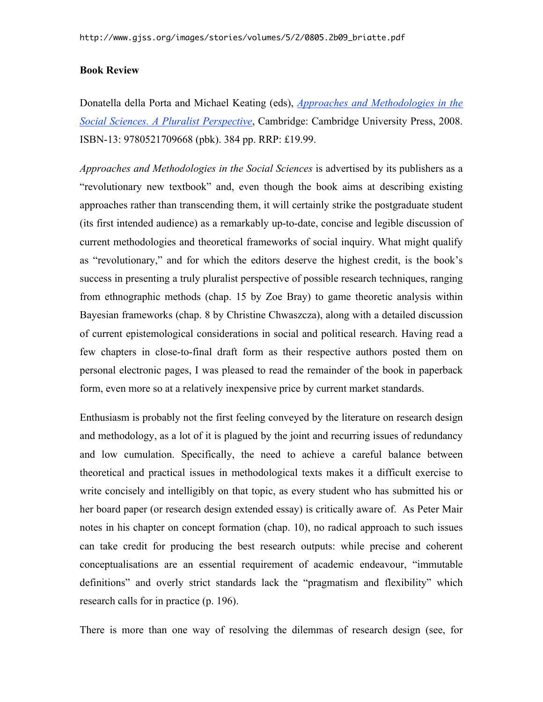#### **Book Review**

Donatella della Porta and Michael Keating (eds), *Approaches and Methodologies in the Social Sciences. A Pluralist Perspective*, Cambridge: Cambridge University Press, 2008. ISBN-13: 9780521709668 (pbk). 384 pp. RRP: £19.99.

*Approaches and Methodologies in the Social Sciences* is advertised by its publishers as a "revolutionary new textbook" and, even though the book aims at describing existing approaches rather than transcending them, it will certainly strike the postgraduate student (its first intended audience) as a remarkably up-to-date, concise and legible discussion of current methodologies and theoretical frameworks of social inquiry. What might qualify as "revolutionary," and for which the editors deserve the highest credit, is the book's success in presenting a truly pluralist perspective of possible research techniques, ranging from ethnographic methods (chap. 15 by Zoe Bray) to game theoretic analysis within Bayesian frameworks (chap. 8 by Christine Chwaszcza), along with a detailed discussion of current epistemological considerations in social and political research. Having read a few chapters in close-to-final draft form as their respective authors posted them on personal electronic pages, I was pleased to read the remainder of the book in paperback form, even more so at a relatively inexpensive price by current market standards.

Enthusiasm is probably not the first feeling conveyed by the literature on research design and methodology, as a lot of it is plagued by the joint and recurring issues of redundancy and low cumulation. Specifically, the need to achieve a careful balance between theoretical and practical issues in methodological texts makes it a difficult exercise to write concisely and intelligibly on that topic, as every student who has submitted his or her board paper (or research design extended essay) is critically aware of. As Peter Mair notes in his chapter on concept formation (chap. 10), no radical approach to such issues can take credit for producing the best research outputs: while precise and coherent conceptualisations are an essential requirement of academic endeavour, "immutable definitions" and overly strict standards lack the "pragmatism and flexibility" which research calls for in practice (p. 196).

There is more than one way of resolving the dilemmas of research design (see, for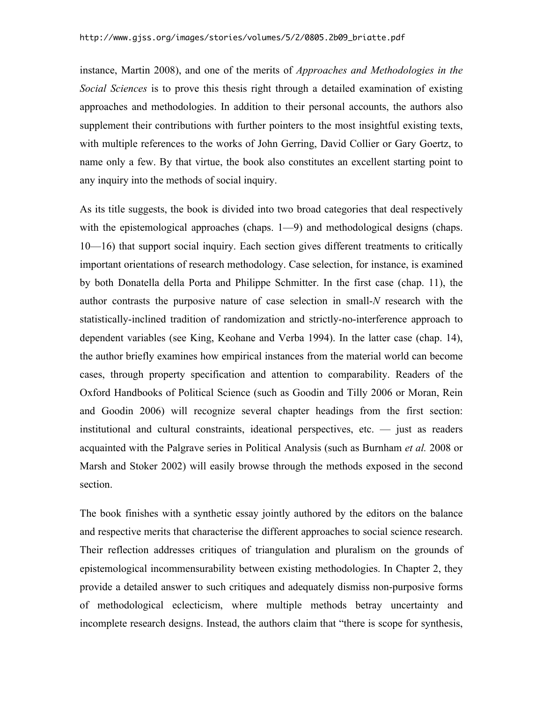instance, Martin 2008), and one of the merits of *Approaches and Methodologies in the Social Sciences* is to prove this thesis right through a detailed examination of existing approaches and methodologies. In addition to their personal accounts, the authors also supplement their contributions with further pointers to the most insightful existing texts, with multiple references to the works of John Gerring, David Collier or Gary Goertz, to name only a few. By that virtue, the book also constitutes an excellent starting point to any inquiry into the methods of social inquiry.

As its title suggests, the book is divided into two broad categories that deal respectively with the epistemological approaches (chaps. 1—9) and methodological designs (chaps. 10—16) that support social inquiry. Each section gives different treatments to critically important orientations of research methodology. Case selection, for instance, is examined by both Donatella della Porta and Philippe Schmitter. In the first case (chap. 11), the author contrasts the purposive nature of case selection in small-*N* research with the statistically-inclined tradition of randomization and strictly-no-interference approach to dependent variables (see King, Keohane and Verba 1994). In the latter case (chap. 14), the author briefly examines how empirical instances from the material world can become cases, through property specification and attention to comparability. Readers of the Oxford Handbooks of Political Science (such as Goodin and Tilly 2006 or Moran, Rein and Goodin 2006) will recognize several chapter headings from the first section: institutional and cultural constraints, ideational perspectives, etc. — just as readers acquainted with the Palgrave series in Political Analysis (such as Burnham *et al.* 2008 or Marsh and Stoker 2002) will easily browse through the methods exposed in the second section.

The book finishes with a synthetic essay jointly authored by the editors on the balance and respective merits that characterise the different approaches to social science research. Their reflection addresses critiques of triangulation and pluralism on the grounds of epistemological incommensurability between existing methodologies. In Chapter 2, they provide a detailed answer to such critiques and adequately dismiss non-purposive forms of methodological eclecticism, where multiple methods betray uncertainty and incomplete research designs. Instead, the authors claim that "there is scope for synthesis,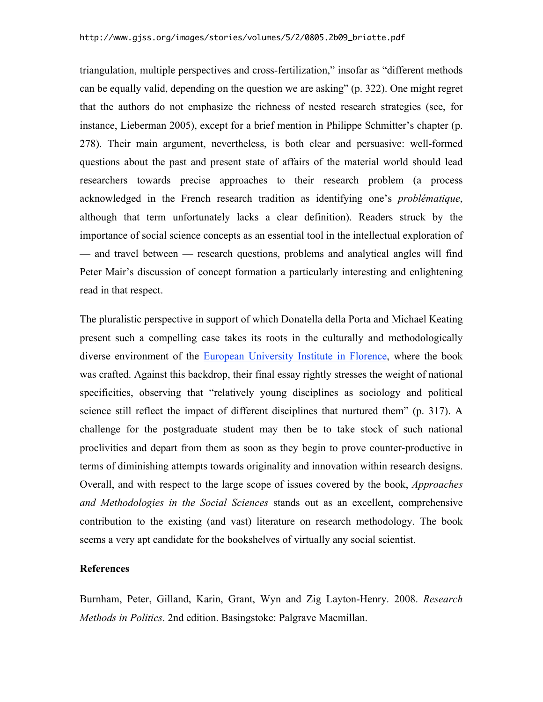triangulation, multiple perspectives and cross-fertilization," insofar as "different methods can be equally valid, depending on the question we are asking" (p. 322). One might regret that the authors do not emphasize the richness of nested research strategies (see, for instance, Lieberman 2005), except for a brief mention in Philippe Schmitter's chapter (p. 278). Their main argument, nevertheless, is both clear and persuasive: well-formed questions about the past and present state of affairs of the material world should lead researchers towards precise approaches to their research problem (a process acknowledged in the French research tradition as identifying one's *problématique*, although that term unfortunately lacks a clear definition). Readers struck by the importance of social science concepts as an essential tool in the intellectual exploration of — and travel between — research questions, problems and analytical angles will find Peter Mair's discussion of concept formation a particularly interesting and enlightening read in that respect.

The pluralistic perspective in support of which Donatella della Porta and Michael Keating present such a compelling case takes its roots in the culturally and methodologically diverse environment of the European University Institute in Florence, where the book was crafted. Against this backdrop, their final essay rightly stresses the weight of national specificities, observing that "relatively young disciplines as sociology and political science still reflect the impact of different disciplines that nurtured them" (p. 317). A challenge for the postgraduate student may then be to take stock of such national proclivities and depart from them as soon as they begin to prove counter-productive in terms of diminishing attempts towards originality and innovation within research designs. Overall, and with respect to the large scope of issues covered by the book, *Approaches and Methodologies in the Social Sciences* stands out as an excellent, comprehensive contribution to the existing (and vast) literature on research methodology. The book seems a very apt candidate for the bookshelves of virtually any social scientist.

#### **References**

Burnham, Peter, Gilland, Karin, Grant, Wyn and Zig Layton-Henry. 2008. *Research Methods in Politics*. 2nd edition. Basingstoke: Palgrave Macmillan.